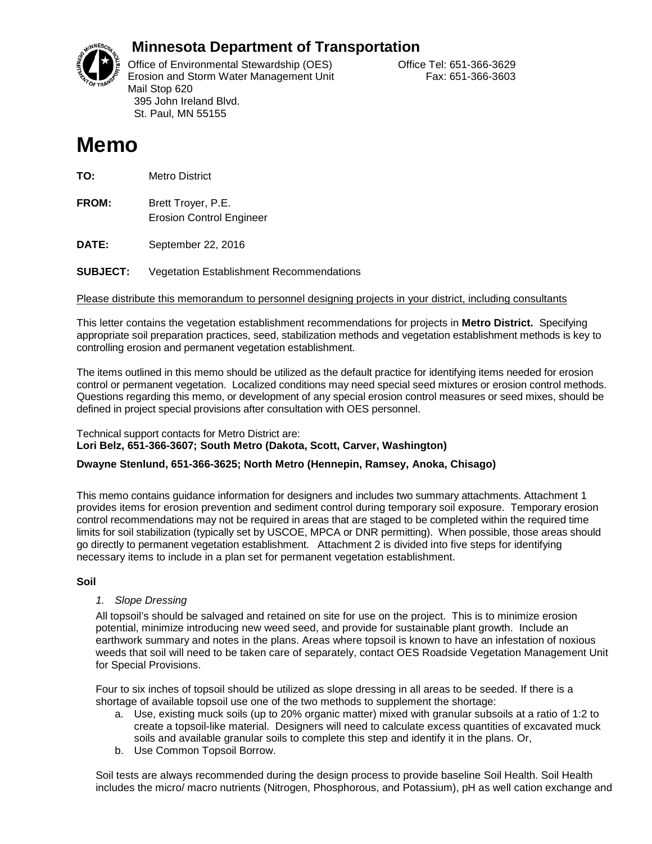

# **Minnesota Department of Transportation**

Office of Environmental Stewardship (OES) Correct Correct Correct Correct Correct Office Tel: 651-366-3629 Erosion and Storm Water Management Unit Fax: 651-366-3603 Mail Stop 620 395 John Ireland Blvd. St. Paul, MN 55155

# **Memo**

**TO:** Metro District

**FROM:** Brett Troyer, P.E. Erosion Control Engineer

**DATE:** September 22, 2016

**SUBJECT:** Vegetation Establishment Recommendations

Please distribute this memorandum to personnel designing projects in your district, including consultants

This letter contains the vegetation establishment recommendations for projects in **Metro District.** Specifying appropriate soil preparation practices, seed, stabilization methods and vegetation establishment methods is key to controlling erosion and permanent vegetation establishment.

The items outlined in this memo should be utilized as the default practice for identifying items needed for erosion control or permanent vegetation. Localized conditions may need special seed mixtures or erosion control methods. Questions regarding this memo, or development of any special erosion control measures or seed mixes, should be defined in project special provisions after consultation with OES personnel.

#### Technical support contacts for Metro District are: **Lori Belz, 651-366-3607; South Metro (Dakota, Scott, Carver, Washington)**

### **Dwayne Stenlund, 651-366-3625; North Metro (Hennepin, Ramsey, Anoka, Chisago)**

This memo contains guidance information for designers and includes two summary attachments. Attachment 1 provides items for erosion prevention and sediment control during temporary soil exposure. Temporary erosion control recommendations may not be required in areas that are staged to be completed within the required time limits for soil stabilization (typically set by USCOE, MPCA or DNR permitting). When possible, those areas should go directly to permanent vegetation establishment. Attachment 2 is divided into five steps for identifying necessary items to include in a plan set for permanent vegetation establishment.

### **Soil**

### *1. Slope Dressing*

All topsoil's should be salvaged and retained on site for use on the project. This is to minimize erosion potential, minimize introducing new weed seed, and provide for sustainable plant growth. Include an earthwork summary and notes in the plans. Areas where topsoil is known to have an infestation of noxious weeds that soil will need to be taken care of separately, contact OES Roadside Vegetation Management Unit for Special Provisions.

Four to six inches of topsoil should be utilized as slope dressing in all areas to be seeded. If there is a shortage of available topsoil use one of the two methods to supplement the shortage:

- a. Use, existing muck soils (up to 20% organic matter) mixed with granular subsoils at a ratio of 1:2 to create a topsoil-like material. Designers will need to calculate excess quantities of excavated muck soils and available granular soils to complete this step and identify it in the plans. Or,
- b. Use Common Topsoil Borrow.

Soil tests are always recommended during the design process to provide baseline Soil Health. Soil Health includes the micro/ macro nutrients (Nitrogen, Phosphorous, and Potassium), pH as well cation exchange and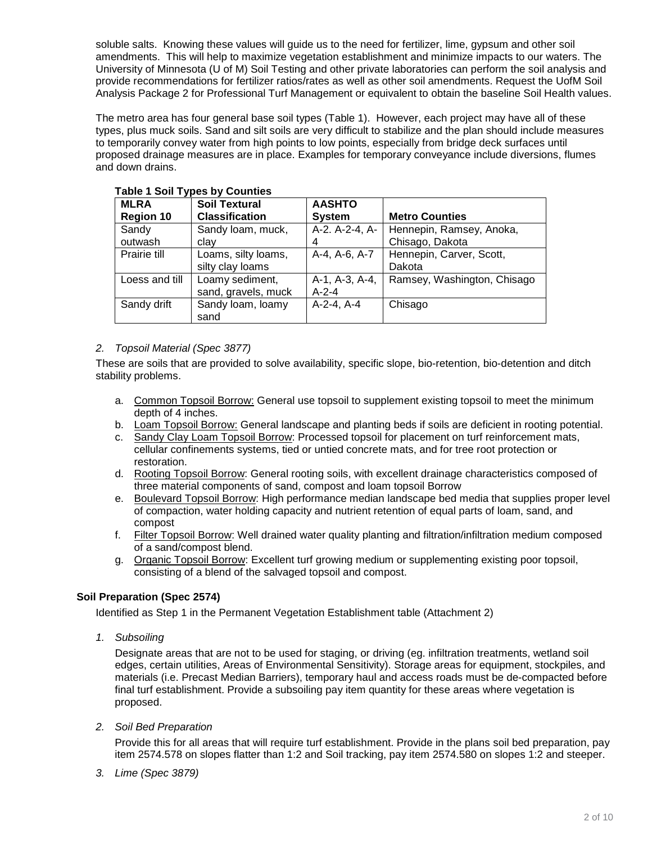soluble salts. Knowing these values will guide us to the need for fertilizer, lime, gypsum and other soil amendments. This will help to maximize vegetation establishment and minimize impacts to our waters. The University of Minnesota (U of M) Soil Testing and other private laboratories can perform the soil analysis and provide recommendations for fertilizer ratios/rates as well as other soil amendments. Request the UofM Soil Analysis Package 2 for Professional Turf Management or equivalent to obtain the baseline Soil Health values.

The metro area has four general base soil types (Table 1). However, each project may have all of these types, plus muck soils. Sand and silt soils are very difficult to stabilize and the plan should include measures to temporarily convey water from high points to low points, especially from bridge deck surfaces until proposed drainage measures are in place. Examples for temporary conveyance include diversions, flumes and down drains.

| <b>MLRA</b>      | <b>Soil Textural</b>  | <b>AASHTO</b>  |                             |
|------------------|-----------------------|----------------|-----------------------------|
| <b>Region 10</b> | <b>Classification</b> | <b>System</b>  | <b>Metro Counties</b>       |
| Sandy            | Sandy Ioam, muck,     | A-2. A-2-4, A- | Hennepin, Ramsey, Anoka,    |
| outwash          | clay                  | 4              | Chisago, Dakota             |
| Prairie till     | Loams, silty loams,   | A-4, A-6, A-7  | Hennepin, Carver, Scott,    |
|                  | silty clay loams      |                | Dakota                      |
| Loess and till   | Loamy sediment,       | A-1, A-3, A-4, | Ramsey, Washington, Chisago |
|                  | sand, gravels, muck   | $A - 2 - 4$    |                             |
| Sandy drift      | Sandy Ioam, Ioamy     | $A-2-4. A-4$   | Chisago                     |
|                  | sand                  |                |                             |

### **Table 1 Soil Types by Counties**

### *2. Topsoil Material (Spec 3877)*

These are soils that are provided to solve availability, specific slope, bio-retention, bio-detention and ditch stability problems.

- a. Common Topsoil Borrow: General use topsoil to supplement existing topsoil to meet the minimum depth of 4 inches.
- b. Loam Topsoil Borrow: General landscape and planting beds if soils are deficient in rooting potential.
- c. Sandy Clay Loam Topsoil Borrow: Processed topsoil for placement on turf reinforcement mats, cellular confinements systems, tied or untied concrete mats, and for tree root protection or restoration.
- d. Rooting Topsoil Borrow: General rooting soils, with excellent drainage characteristics composed of three material components of sand, compost and loam topsoil Borrow
- e. Boulevard Topsoil Borrow: High performance median landscape bed media that supplies proper level of compaction, water holding capacity and nutrient retention of equal parts of loam, sand, and compost
- f. Filter Topsoil Borrow: Well drained water quality planting and filtration/infiltration medium composed of a sand/compost blend.
- g. Organic Topsoil Borrow: Excellent turf growing medium or supplementing existing poor topsoil, consisting of a blend of the salvaged topsoil and compost.

### **Soil Preparation (Spec 2574)**

Identified as Step 1 in the Permanent Vegetation Establishment table (Attachment 2)

*1. Subsoiling*

Designate areas that are not to be used for staging, or driving (eg. infiltration treatments, wetland soil edges, certain utilities, Areas of Environmental Sensitivity). Storage areas for equipment, stockpiles, and materials (i.e. Precast Median Barriers), temporary haul and access roads must be de-compacted before final turf establishment. Provide a subsoiling pay item quantity for these areas where vegetation is proposed.

*2. Soil Bed Preparation*

Provide this for all areas that will require turf establishment. Provide in the plans soil bed preparation, pay item 2574.578 on slopes flatter than 1:2 and Soil tracking, pay item 2574.580 on slopes 1:2 and steeper.

*3. Lime (Spec 3879)*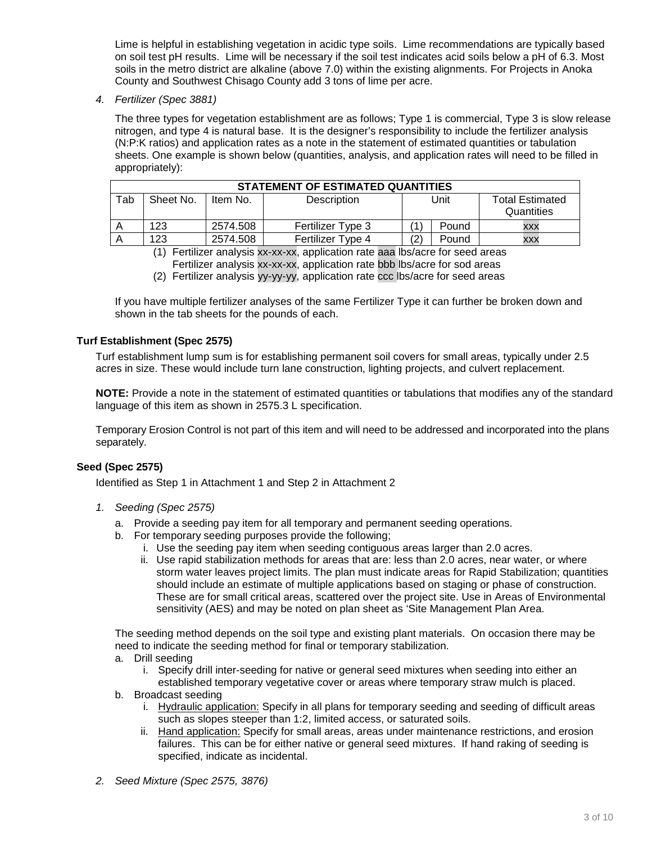Lime is helpful in establishing vegetation in acidic type soils. Lime recommendations are typically based on soil test pH results. Lime will be necessary if the soil test indicates acid soils below a pH of 6.3. Most soils in the metro district are alkaline (above 7.0) within the existing alignments. For Projects in Anoka County and Southwest Chisago County add 3 tons of lime per acre.

*4. Fertilizer (Spec 3881)*

The three types for vegetation establishment are as follows; Type 1 is commercial, Type 3 is slow release nitrogen, and type 4 is natural base. It is the designer's responsibility to include the fertilizer analysis (N:P:K ratios) and application rates as a note in the statement of estimated quantities or tabulation sheets. One example is shown below (quantities, analysis, and application rates will need to be filled in appropriately):

|     | STATEMENT OF ESTIMATED QUANTITIES |          |                   |    |       |                                      |  |  |
|-----|-----------------------------------|----------|-------------------|----|-------|--------------------------------------|--|--|
| Tab | Sheet No.                         | Item No. | Description       |    | Unit  | <b>Total Estimated</b><br>Quantities |  |  |
|     | 123                               | 2574.508 | Fertilizer Type 3 |    | Pound | XXX                                  |  |  |
|     | 123                               | 2574.508 | Fertilizer Type 4 | (2 | Pound | <b>XXX</b>                           |  |  |

(1) Fertilizer analysis xx-xx-xx, application rate aaa lbs/acre for seed areas

- Fertilizer analysis xx-xx-xx, application rate bbb lbs/acre for sod areas
- (2) Fertilizer analysis yy-yy-yy, application rate ccc lbs/acre for seed areas

If you have multiple fertilizer analyses of the same Fertilizer Type it can further be broken down and shown in the tab sheets for the pounds of each.

### **Turf Establishment (Spec 2575)**

Turf establishment lump sum is for establishing permanent soil covers for small areas, typically under 2.5 acres in size. These would include turn lane construction, lighting projects, and culvert replacement.

**NOTE:** Provide a note in the statement of estimated quantities or tabulations that modifies any of the standard language of this item as shown in 2575.3 L specification.

Temporary Erosion Control is not part of this item and will need to be addressed and incorporated into the plans separately.

#### **Seed (Spec 2575)**

Identified as Step 1 in Attachment 1 and Step 2 in Attachment 2

- *1. Seeding (Spec 2575)*
	- a. Provide a seeding pay item for all temporary and permanent seeding operations.
	- b. For temporary seeding purposes provide the following;
		- i. Use the seeding pay item when seeding contiguous areas larger than 2.0 acres.
		- ii. Use rapid stabilization methods for areas that are: less than 2.0 acres, near water, or where storm water leaves project limits. The plan must indicate areas for Rapid Stabilization; quantities should include an estimate of multiple applications based on staging or phase of construction. These are for small critical areas, scattered over the project site. Use in Areas of Environmental sensitivity (AES) and may be noted on plan sheet as 'Site Management Plan Area.

The seeding method depends on the soil type and existing plant materials. On occasion there may be need to indicate the seeding method for final or temporary stabilization.

- a. Drill seeding
	- i. Specify drill inter-seeding for native or general seed mixtures when seeding into either an established temporary vegetative cover or areas where temporary straw mulch is placed.
- b. Broadcast seeding
	- i. Hydraulic application: Specify in all plans for temporary seeding and seeding of difficult areas such as slopes steeper than 1:2, limited access, or saturated soils.
	- ii. Hand application: Specify for small areas, areas under maintenance restrictions, and erosion failures. This can be for either native or general seed mixtures. If hand raking of seeding is specified, indicate as incidental.
- *2. Seed Mixture (Spec 2575, 3876)*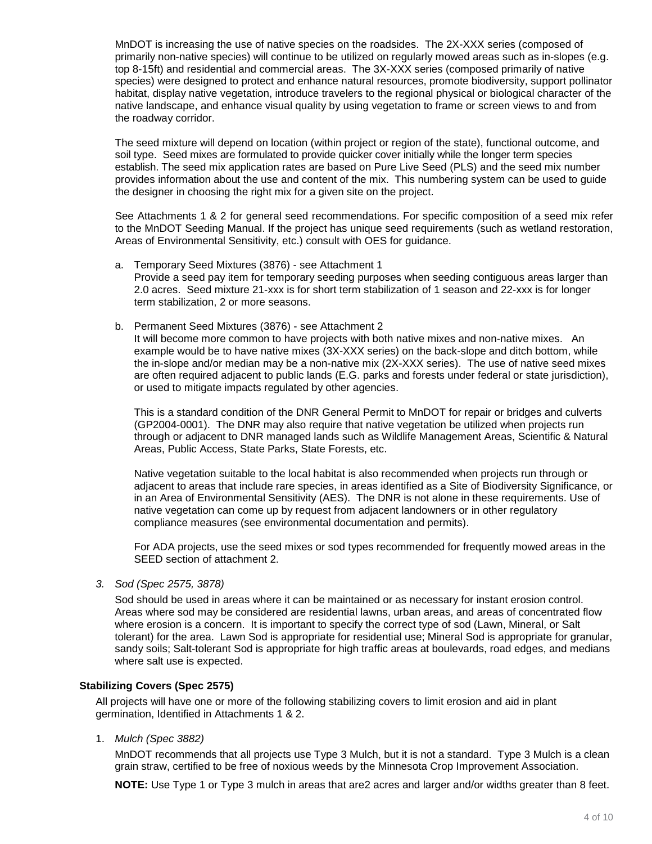MnDOT is increasing the use of native species on the roadsides. The 2X-XXX series (composed of primarily non-native species) will continue to be utilized on regularly mowed areas such as in-slopes (e.g. top 8-15ft) and residential and commercial areas. The 3X-XXX series (composed primarily of native species) were designed to protect and enhance natural resources, promote biodiversity, support pollinator habitat, display native vegetation, introduce travelers to the regional physical or biological character of the native landscape, and enhance visual quality by using vegetation to frame or screen views to and from the roadway corridor.

The seed mixture will depend on location (within project or region of the state), functional outcome, and soil type. Seed mixes are formulated to provide quicker cover initially while the longer term species establish. The seed mix application rates are based on Pure Live Seed (PLS) and the seed mix number provides information about the use and content of the mix. This numbering system can be used to guide the designer in choosing the right mix for a given site on the project.

See Attachments 1 & 2 for general seed recommendations. For specific composition of a seed mix refer to the MnDOT Seeding Manual. If the project has unique seed requirements (such as wetland restoration, Areas of Environmental Sensitivity, etc.) consult with OES for guidance.

- a. Temporary Seed Mixtures (3876) see Attachment 1 Provide a seed pay item for temporary seeding purposes when seeding contiguous areas larger than 2.0 acres. Seed mixture 21-xxx is for short term stabilization of 1 season and 22-xxx is for longer term stabilization, 2 or more seasons.
- b. Permanent Seed Mixtures (3876) see Attachment 2

It will become more common to have projects with both native mixes and non-native mixes. An example would be to have native mixes (3X-XXX series) on the back-slope and ditch bottom, while the in-slope and/or median may be a non-native mix (2X-XXX series). The use of native seed mixes are often required adjacent to public lands (E.G. parks and forests under federal or state jurisdiction), or used to mitigate impacts regulated by other agencies.

This is a standard condition of the DNR General Permit to MnDOT for repair or bridges and culverts (GP2004-0001). The DNR may also require that native vegetation be utilized when projects run through or adjacent to DNR managed lands such as Wildlife Management Areas, Scientific & Natural Areas, Public Access, State Parks, State Forests, etc.

Native vegetation suitable to the local habitat is also recommended when projects run through or adjacent to areas that include rare species, in areas identified as a Site of Biodiversity Significance, or in an Area of Environmental Sensitivity (AES). The DNR is not alone in these requirements. Use of native vegetation can come up by request from adjacent landowners or in other regulatory compliance measures (see environmental documentation and permits).

For ADA projects, use the seed mixes or sod types recommended for frequently mowed areas in the SEED section of attachment 2.

*3. Sod (Spec 2575, 3878)*

Sod should be used in areas where it can be maintained or as necessary for instant erosion control. Areas where sod may be considered are residential lawns, urban areas, and areas of concentrated flow where erosion is a concern. It is important to specify the correct type of sod (Lawn, Mineral, or Salt tolerant) for the area. Lawn Sod is appropriate for residential use; Mineral Sod is appropriate for granular, sandy soils; Salt-tolerant Sod is appropriate for high traffic areas at boulevards, road edges, and medians where salt use is expected.

#### **Stabilizing Covers (Spec 2575)**

All projects will have one or more of the following stabilizing covers to limit erosion and aid in plant germination, Identified in Attachments 1 & 2.

1. *Mulch (Spec 3882)* 

MnDOT recommends that all projects use Type 3 Mulch, but it is not a standard. Type 3 Mulch is a clean grain straw, certified to be free of noxious weeds by the Minnesota Crop Improvement Association.

**NOTE:** Use Type 1 or Type 3 mulch in areas that are2 acres and larger and/or widths greater than 8 feet.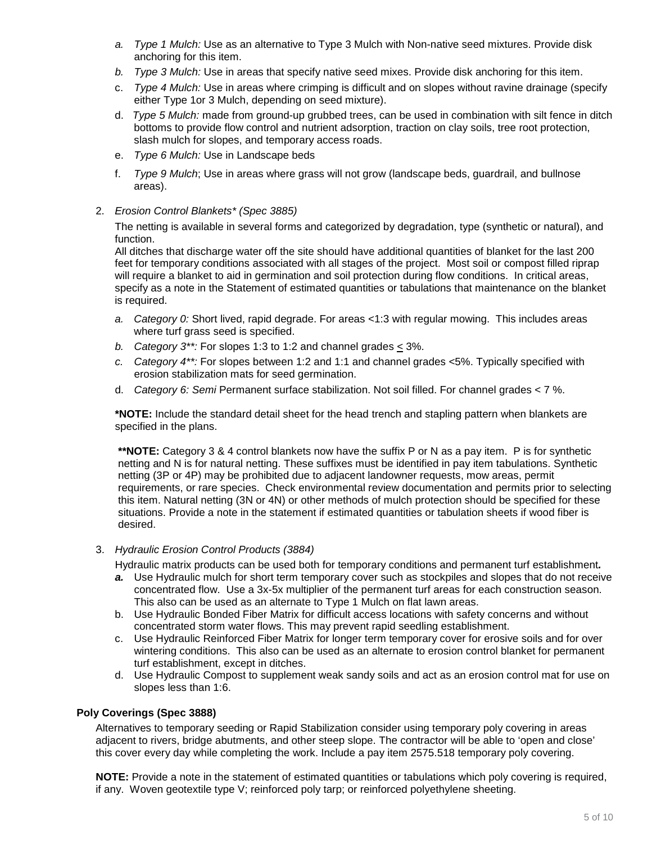- *a. Type 1 Mulch:* Use as an alternative to Type 3 Mulch with Non-native seed mixtures. Provide disk anchoring for this item.
- *b. Type 3 Mulch:* Use in areas that specify native seed mixes. Provide disk anchoring for this item.
- c. *Type 4 Mulch:* Use in areas where crimping is difficult and on slopes without ravine drainage (specify either Type 1or 3 Mulch, depending on seed mixture).
- d. *Type 5 Mulch:* made from ground-up grubbed trees, can be used in combination with silt fence in ditch bottoms to provide flow control and nutrient adsorption, traction on clay soils, tree root protection, slash mulch for slopes, and temporary access roads.
- e. *Type 6 Mulch:* Use in Landscape beds
- f. *Type 9 Mulch*; Use in areas where grass will not grow (landscape beds, guardrail, and bullnose areas).
- 2. *Erosion Control Blankets\* (Spec 3885)*

The netting is available in several forms and categorized by degradation, type (synthetic or natural), and function.

All ditches that discharge water off the site should have additional quantities of blanket for the last 200 feet for temporary conditions associated with all stages of the project. Most soil or compost filled riprap will require a blanket to aid in germination and soil protection during flow conditions. In critical areas, specify as a note in the Statement of estimated quantities or tabulations that maintenance on the blanket is required.

- *a. Category 0:* Short lived, rapid degrade. For areas <1:3 with regular mowing. This includes areas where turf grass seed is specified.
- *b. Category*  $3^{**}$ : For slopes 1:3 to 1:2 and channel grades  $\leq$  3%.
- *c. Category 4\*\*:* For slopes between 1:2 and 1:1 and channel grades <5%. Typically specified with erosion stabilization mats for seed germination.
- d. *Category 6: Semi* Permanent surface stabilization. Not soil filled. For channel grades < 7 %.

**\*NOTE:** Include the standard detail sheet for the head trench and stapling pattern when blankets are specified in the plans.

**\*\*NOTE:** Category 3 & 4 control blankets now have the suffix P or N as a pay item. P is for synthetic netting and N is for natural netting. These suffixes must be identified in pay item tabulations. Synthetic netting (3P or 4P) may be prohibited due to adjacent landowner requests, mow areas, permit requirements, or rare species. Check environmental review documentation and permits prior to selecting this item. Natural netting (3N or 4N) or other methods of mulch protection should be specified for these situations. Provide a note in the statement if estimated quantities or tabulation sheets if wood fiber is desired.

3. *Hydraulic Erosion Control Products (3884)*

Hydraulic matrix products can be used both for temporary conditions and permanent turf establishment*.* 

- *a.* Use Hydraulic mulch for short term temporary cover such as stockpiles and slopes that do not receive concentrated flow. Use a 3x-5x multiplier of the permanent turf areas for each construction season. This also can be used as an alternate to Type 1 Mulch on flat lawn areas.
- b. Use Hydraulic Bonded Fiber Matrix for difficult access locations with safety concerns and without concentrated storm water flows. This may prevent rapid seedling establishment.
- c. Use Hydraulic Reinforced Fiber Matrix for longer term temporary cover for erosive soils and for over wintering conditions. This also can be used as an alternate to erosion control blanket for permanent turf establishment, except in ditches.
- d. Use Hydraulic Compost to supplement weak sandy soils and act as an erosion control mat for use on slopes less than 1:6.

### **Poly Coverings (Spec 3888)**

Alternatives to temporary seeding or Rapid Stabilization consider using temporary poly covering in areas adjacent to rivers, bridge abutments, and other steep slope. The contractor will be able to 'open and close' this cover every day while completing the work. Include a pay item 2575.518 temporary poly covering.

**NOTE:** Provide a note in the statement of estimated quantities or tabulations which poly covering is required, if any. Woven geotextile type V; reinforced poly tarp; or reinforced polyethylene sheeting.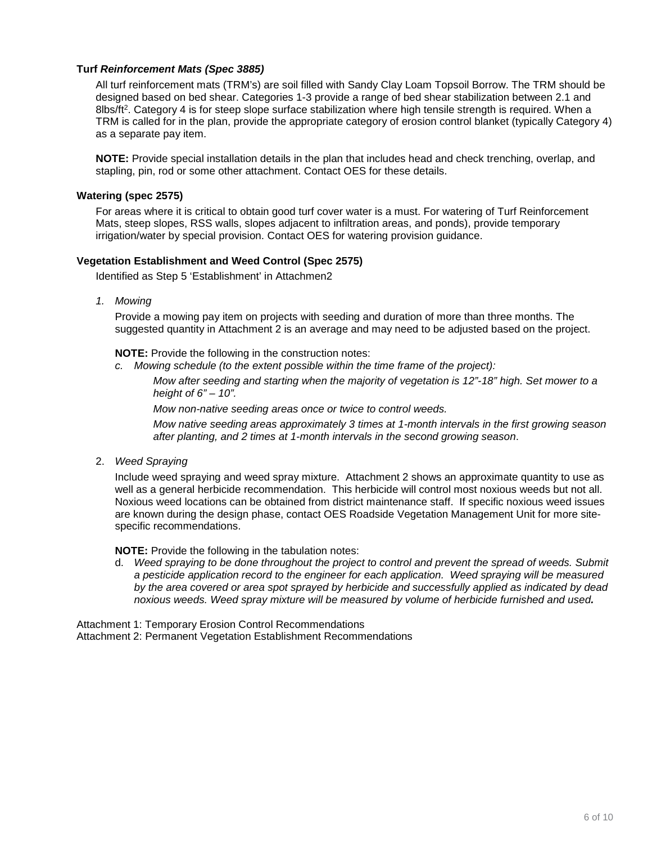#### **Turf** *Reinforcement Mats (Spec 3885)*

All turf reinforcement mats (TRM's) are soil filled with Sandy Clay Loam Topsoil Borrow. The TRM should be designed based on bed shear. Categories 1-3 provide a range of bed shear stabilization between 2.1 and 8lbs/ft<sup>2</sup>. Category 4 is for steep slope surface stabilization where high tensile strength is required. When a TRM is called for in the plan, provide the appropriate category of erosion control blanket (typically Category 4) as a separate pay item.

**NOTE:** Provide special installation details in the plan that includes head and check trenching, overlap, and stapling, pin, rod or some other attachment. Contact OES for these details.

#### **Watering (spec 2575)**

For areas where it is critical to obtain good turf cover water is a must. For watering of Turf Reinforcement Mats, steep slopes, RSS walls, slopes adjacent to infiltration areas, and ponds), provide temporary irrigation/water by special provision. Contact OES for watering provision guidance.

#### **Vegetation Establishment and Weed Control (Spec 2575)**

Identified as Step 5 'Establishment' in Attachmen2

*1. Mowing*

Provide a mowing pay item on projects with seeding and duration of more than three months. The suggested quantity in Attachment 2 is an average and may need to be adjusted based on the project.

**NOTE:** Provide the following in the construction notes:

*c. Mowing schedule (to the extent possible within the time frame of the project):*

*Mow after seeding and starting when the majority of vegetation is 12"-18" high. Set mower to a height of 6" – 10".*

*Mow non-native seeding areas once or twice to control weeds.* 

*Mow native seeding areas approximately 3 times at 1-month intervals in the first growing season after planting, and 2 times at 1-month intervals in the second growing season*.

2. *Weed Spraying* 

Include weed spraying and weed spray mixture. Attachment 2 shows an approximate quantity to use as well as a general herbicide recommendation. This herbicide will control most noxious weeds but not all. Noxious weed locations can be obtained from district maintenance staff. If specific noxious weed issues are known during the design phase, contact OES Roadside Vegetation Management Unit for more sitespecific recommendations.

**NOTE:** Provide the following in the tabulation notes:

d. *Weed spraying to be done throughout the project to control and prevent the spread of weeds. Submit a pesticide application record to the engineer for each application. Weed spraying will be measured by the area covered or area spot sprayed by herbicide and successfully applied as indicated by dead noxious weeds. Weed spray mixture will be measured by volume of herbicide furnished and used.* 

Attachment 1: Temporary Erosion Control Recommendations Attachment 2: Permanent Vegetation Establishment Recommendations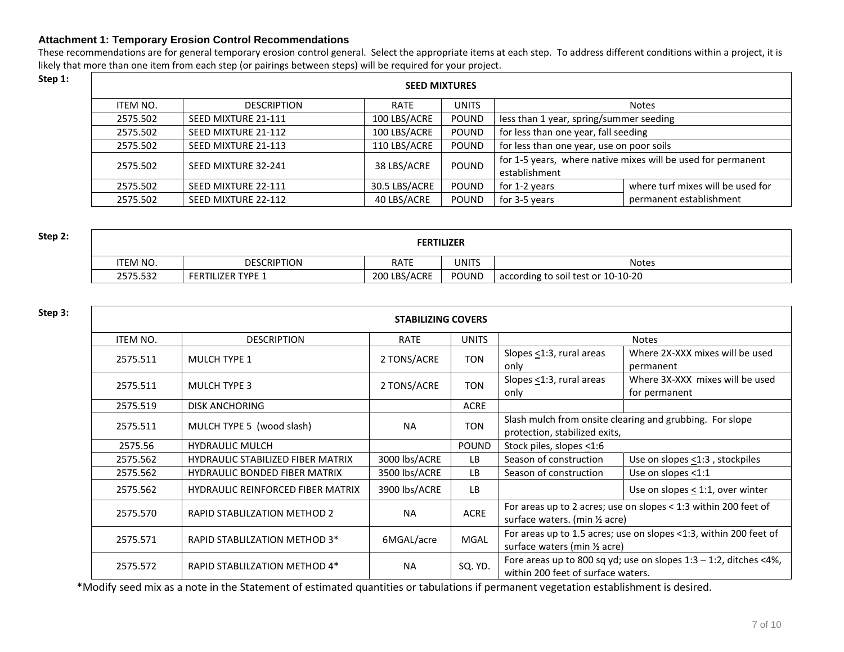#### **Attachment 1: Temporary Erosion Control Recommendations**

These recommendations are for general temporary erosion control general. Select the appropriate items at each step. To address different conditions within a project, it is likely that more than one item from each step (or pairings between steps) will be required for your project.<br>Step 1:

| Step 1: |          | <b>SEED MIXTURES</b> |               |              |                                           |                                                              |  |  |  |
|---------|----------|----------------------|---------------|--------------|-------------------------------------------|--------------------------------------------------------------|--|--|--|
|         | ITEM NO. | <b>DESCRIPTION</b>   | <b>RATE</b>   | <b>UNITS</b> |                                           | <b>Notes</b>                                                 |  |  |  |
|         | 2575.502 | SEED MIXTURE 21-111  | 100 LBS/ACRE  | <b>POUND</b> | less than 1 year, spring/summer seeding   |                                                              |  |  |  |
|         | 2575.502 | SEED MIXTURE 21-112  | 100 LBS/ACRE  | <b>POUND</b> | for less than one year, fall seeding      |                                                              |  |  |  |
|         | 2575.502 | SEED MIXTURE 21-113  | 110 LBS/ACRE  | <b>POUND</b> | for less than one year, use on poor soils |                                                              |  |  |  |
|         | 2575.502 | SEED MIXTURE 32-241  | 38 LBS/ACRE   | <b>POUND</b> | establishment                             | for 1-5 years, where native mixes will be used for permanent |  |  |  |
|         | 2575.502 | SEED MIXTURE 22-111  | 30.5 LBS/ACRE | <b>POUND</b> | for 1-2 years                             | where turf mixes will be used for                            |  |  |  |
|         | 2575.502 | SEED MIXTURE 22-112  | 40 LBS/ACRE   | <b>POUND</b> | for 3-5 years                             | permanent establishment                                      |  |  |  |

| Step 2: | <b>FERTILIZER</b> |                          |              |       |                                    |  |  |
|---------|-------------------|--------------------------|--------------|-------|------------------------------------|--|--|
|         | <b>ITEM NO.</b>   | <b>DESCRIPTION</b>       | <b>RATE</b>  | UNITS | <b>Notes</b>                       |  |  |
|         | 2575.532          | <b>FERTILIZER TYPE 1</b> | 200 LBS/ACRE | POUND | according to soil test or 10-10-20 |  |  |

| Step 3: |                 |                                          | <b>STABILIZING COVERS</b> |              |                                                                                           |                                                                      |
|---------|-----------------|------------------------------------------|---------------------------|--------------|-------------------------------------------------------------------------------------------|----------------------------------------------------------------------|
|         | <b>ITEM NO.</b> | <b>DESCRIPTION</b>                       | RATE                      | <b>UNITS</b> |                                                                                           | <b>Notes</b>                                                         |
|         | 2575.511        | <b>MULCH TYPE 1</b>                      | 2 TONS/ACRE               | <b>TON</b>   | Slopes $\leq$ 1:3, rural areas<br>only                                                    | Where 2X-XXX mixes will be used<br>permanent                         |
|         | 2575.511        | <b>MULCH TYPE 3</b>                      | 2 TONS/ACRE               | <b>TON</b>   | Slopes $\leq$ 1:3, rural areas<br>only                                                    | Where 3X-XXX mixes will be used<br>for permanent                     |
|         | 2575.519        | <b>DISK ANCHORING</b>                    |                           | <b>ACRE</b>  |                                                                                           |                                                                      |
|         | 2575.511        | MULCH TYPE 5 (wood slash)                | <b>NA</b>                 | <b>TON</b>   | Slash mulch from onsite clearing and grubbing. For slope<br>protection, stabilized exits, |                                                                      |
|         | 2575.56         | <b>HYDRAULIC MULCH</b>                   |                           | <b>POUND</b> | Stock piles, slopes <1:6                                                                  |                                                                      |
|         | 2575.562        | <b>HYDRAULIC STABILIZED FIBER MATRIX</b> | 3000 lbs/ACRE             | LB           | Season of construction                                                                    | Use on slopes $\leq$ 1:3, stockpiles                                 |
|         | 2575.562        | <b>HYDRAULIC BONDED FIBER MATRIX</b>     | 3500 lbs/ACRE             | LB           | Season of construction                                                                    | Use on slopes <1:1                                                   |
|         | 2575.562        | <b>HYDRAULIC REINFORCED FIBER MATRIX</b> | 3900 lbs/ACRE             | LB           |                                                                                           | Use on slopes < 1:1, over winter                                     |
|         | 2575.570        | <b>RAPID STABLILZATION METHOD 2</b>      | <b>NA</b>                 | <b>ACRE</b>  | surface waters. (min 1/2 acre)                                                            | For areas up to 2 acres; use on slopes < 1:3 within 200 feet of      |
|         | 2575.571        | RAPID STABLILZATION METHOD 3*            | 6MGAL/acre                | MGAL         | surface waters (min 1/2 acre)                                                             | For areas up to 1.5 acres; use on slopes <1:3, within 200 feet of    |
|         | 2575.572        | RAPID STABLILZATION METHOD 4*            | <b>NA</b>                 | SQ. YD.      | within 200 feet of surface waters.                                                        | Fore areas up to 800 sq yd; use on slopes $1:3 - 1:2$ , ditches <4%, |

\*Modify seed mix as a note in the Statement of estimated quantities or tabulations if permanent vegetation establishment is desired.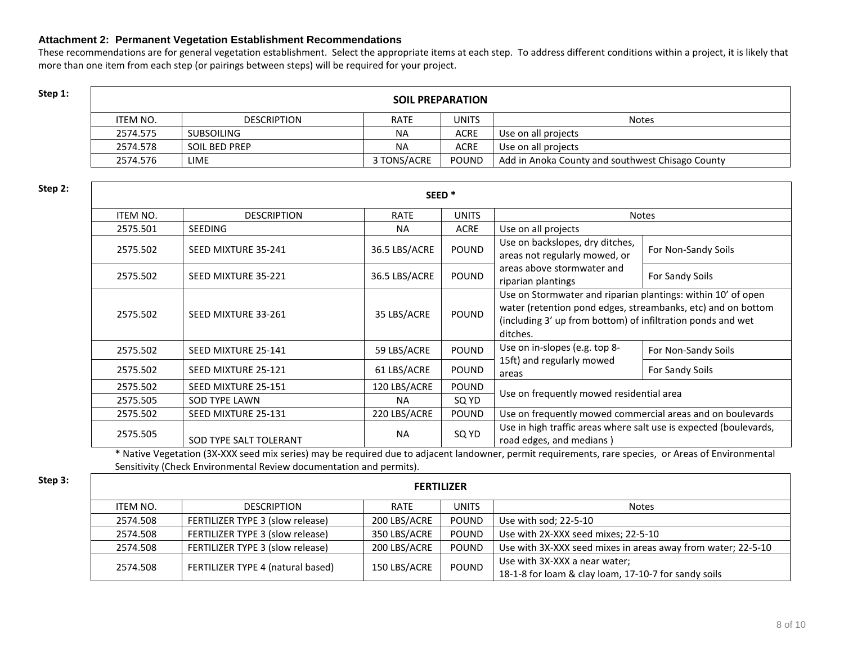#### **Attachment 2: Permanent Vegetation Establishment Recommendations**

These recommendations are for general vegetation establishment. Select the appropriate items at each step. To address different conditions within a project, it is likely that more than one item from each step (or pairings between steps) will be required for your project.

## **Step 1: Step 1: SOIL PREPARATION**

| ITEM NO. | <b>DESCRIPTION</b> | <b>RATE</b> | <b>UNITS</b> | <b>Notes</b>                                     |
|----------|--------------------|-------------|--------------|--------------------------------------------------|
| 2574.575 | SUBSOILING         | <b>NA</b>   | <b>ACRE</b>  | Use on all projects                              |
| 2574.578 | SOIL BED PREP      | <b>NA</b>   | <b>ACRE</b>  | Use on all projects                              |
| 2574.576 | LIME               | 3 TONS/ACRE | <b>POUND</b> | Add in Anoka County and southwest Chisago County |

| Step 2: |          |                        | SEED <sup>*</sup> |                                                                                                                                                                                                                         |                                                                                               |                     |
|---------|----------|------------------------|-------------------|-------------------------------------------------------------------------------------------------------------------------------------------------------------------------------------------------------------------------|-----------------------------------------------------------------------------------------------|---------------------|
|         | ITEM NO. | <b>DESCRIPTION</b>     | <b>RATE</b>       | <b>UNITS</b>                                                                                                                                                                                                            |                                                                                               | <b>Notes</b>        |
|         | 2575.501 | <b>SEEDING</b>         | <b>NA</b>         | <b>ACRE</b>                                                                                                                                                                                                             | Use on all projects                                                                           |                     |
|         | 2575.502 | SEED MIXTURE 35-241    | 36.5 LBS/ACRE     | <b>POUND</b>                                                                                                                                                                                                            | Use on backslopes, dry ditches,<br>areas not regularly mowed, or                              | For Non-Sandy Soils |
|         | 2575.502 | SEED MIXTURE 35-221    | 36.5 LBS/ACRE     | <b>POUND</b>                                                                                                                                                                                                            | areas above stormwater and<br>riparian plantings                                              | For Sandy Soils     |
|         | 2575.502 | SEED MIXTURE 33-261    | 35 LBS/ACRE       | Use on Stormwater and riparian plantings: within 10' of open<br>water (retention pond edges, streambanks, etc) and on bottom<br><b>POUND</b><br>(including 3' up from bottom) of infiltration ponds and wet<br>ditches. |                                                                                               |                     |
|         | 2575.502 | SEED MIXTURE 25-141    | 59 LBS/ACRE       | <b>POUND</b>                                                                                                                                                                                                            | Use on in-slopes (e.g. top 8-                                                                 | For Non-Sandy Soils |
|         | 2575.502 | SEED MIXTURE 25-121    | 61 LBS/ACRE       | <b>POUND</b>                                                                                                                                                                                                            | 15ft) and regularly mowed<br>areas                                                            | For Sandy Soils     |
|         | 2575.502 | SEED MIXTURE 25-151    | 120 LBS/ACRE      | <b>POUND</b>                                                                                                                                                                                                            |                                                                                               |                     |
|         | 2575.505 | <b>SOD TYPE LAWN</b>   | <b>NA</b>         | SQ YD                                                                                                                                                                                                                   | Use on frequently mowed residential area                                                      |                     |
|         | 2575.502 | SEED MIXTURE 25-131    | 220 LBS/ACRE      | <b>POUND</b>                                                                                                                                                                                                            | Use on frequently mowed commercial areas and on boulevards                                    |                     |
|         | 2575.505 | SOD TYPE SALT TOLERANT | <b>NA</b>         | SQ YD                                                                                                                                                                                                                   | Use in high traffic areas where salt use is expected (boulevards,<br>road edges, and medians) |                     |

**\*** Native Vegetation (3X-XXX seed mix series) may be required due to adjacent landowner, permit requirements, rare species, or Areas of Environmental Sensitivity (Check Environmental Review documentation and permits).

### **Step 3: FERTILIZER** ITEM NO. DESCRIPTION RATE UNITS Notes 2574.508 FERTILIZER TYPE 3 (slow release) 200 LBS/ACRE POUND Use with sod; 22-5-10 2574.508 FERTILIZER TYPE 3 (slow release) 350 LBS/ACRE POUND Use with 2X-XXX seed mixes; 22-5-10 2574.508 FERTILIZER TYPE 3 (slow release) 200 LBS/ACRE POUND Use with 3X-XXX seed mixes in areas away from water; 22-5-10 2574.508 FERTILIZER TYPE 4 (natural based) <sup>150</sup> LBS/ACRE POUND Use with 3X-XXX a near water; 18-1-8 for loam & clay loam, 17-10-7 for sandy soils

#### 8 of 10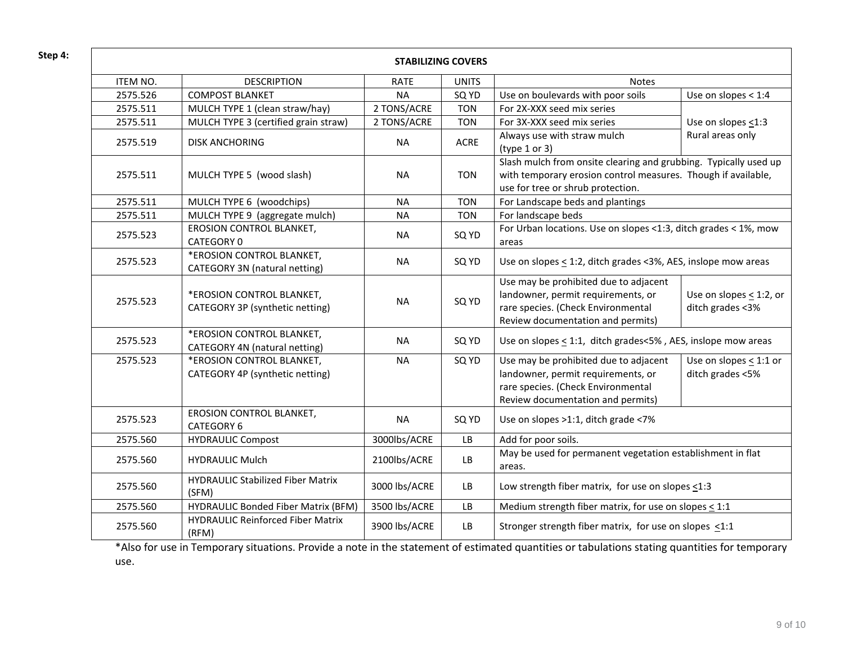| Step 4: |          |                                                              | <b>STABILIZING COVERS</b> |              |                                                                                                                                                                        |                                                  |
|---------|----------|--------------------------------------------------------------|---------------------------|--------------|------------------------------------------------------------------------------------------------------------------------------------------------------------------------|--------------------------------------------------|
|         | ITEM NO. | <b>DESCRIPTION</b>                                           | <b>RATE</b>               | <b>UNITS</b> | Notes                                                                                                                                                                  |                                                  |
|         | 2575.526 | <b>COMPOST BLANKET</b>                                       | <b>NA</b>                 | SQ YD        | Use on boulevards with poor soils                                                                                                                                      | Use on slopes < 1:4                              |
|         | 2575.511 | MULCH TYPE 1 (clean straw/hay)                               | 2 TONS/ACRE               | <b>TON</b>   | For 2X-XXX seed mix series                                                                                                                                             |                                                  |
|         | 2575.511 | MULCH TYPE 3 (certified grain straw)                         | 2 TONS/ACRE               | <b>TON</b>   | For 3X-XXX seed mix series                                                                                                                                             | Use on slopes $\leq$ 1:3                         |
|         | 2575.519 | <b>DISK ANCHORING</b>                                        | <b>NA</b>                 | <b>ACRE</b>  | Always use with straw mulch<br>(type $1$ or $3$ )                                                                                                                      | Rural areas only                                 |
|         | 2575.511 | MULCH TYPE 5 (wood slash)                                    | <b>NA</b>                 | <b>TON</b>   | Slash mulch from onsite clearing and grubbing. Typically used up<br>with temporary erosion control measures. Though if available,<br>use for tree or shrub protection. |                                                  |
|         | 2575.511 | MULCH TYPE 6 (woodchips)                                     | <b>NA</b>                 | <b>TON</b>   | For Landscape beds and plantings                                                                                                                                       |                                                  |
|         | 2575.511 | MULCH TYPE 9 (aggregate mulch)                               | <b>NA</b>                 | <b>TON</b>   | For landscape beds                                                                                                                                                     |                                                  |
|         | 2575.523 | <b>EROSION CONTROL BLANKET,</b><br>CATEGORY 0                | <b>NA</b>                 | SQ YD        | For Urban locations. Use on slopes <1:3, ditch grades < 1%, mow<br>areas                                                                                               |                                                  |
|         | 2575.523 | *EROSION CONTROL BLANKET,<br>CATEGORY 3N (natural netting)   | <b>NA</b>                 | SQ YD        | Use on slopes < 1:2, ditch grades <3%, AES, inslope mow areas                                                                                                          |                                                  |
|         | 2575.523 | *EROSION CONTROL BLANKET,<br>CATEGORY 3P (synthetic netting) | <b>NA</b>                 | SQ YD        | Use may be prohibited due to adjacent<br>landowner, permit requirements, or<br>rare species. (Check Environmental<br>Review documentation and permits)                 | Use on slopes $\leq$ 1:2, or<br>ditch grades <3% |
|         | 2575.523 | *EROSION CONTROL BLANKET,<br>CATEGORY 4N (natural netting)   | <b>NA</b>                 | SQ YD        | Use on slopes < 1:1, ditch grades<5%, AES, inslope mow areas                                                                                                           |                                                  |
|         | 2575.523 | *EROSION CONTROL BLANKET,<br>CATEGORY 4P (synthetic netting) | <b>NA</b>                 | SQ YD        | Use may be prohibited due to adjacent<br>landowner, permit requirements, or<br>rare species. (Check Environmental<br>Review documentation and permits)                 | Use on slopes $\leq$ 1:1 or<br>ditch grades <5%  |
|         | 2575.523 | EROSION CONTROL BLANKET,<br>CATEGORY 6                       | <b>NA</b>                 | SQ YD        | Use on slopes >1:1, ditch grade <7%                                                                                                                                    |                                                  |
|         | 2575.560 | <b>HYDRAULIC Compost</b>                                     | 3000lbs/ACRE              | LB           | Add for poor soils.                                                                                                                                                    |                                                  |
|         | 2575.560 | <b>HYDRAULIC Mulch</b>                                       | 2100lbs/ACRE              | LB           | May be used for permanent vegetation establishment in flat<br>areas.                                                                                                   |                                                  |
|         | 2575.560 | <b>HYDRAULIC Stabilized Fiber Matrix</b><br>(SFM)            | 3000 lbs/ACRE             | LB           | Low strength fiber matrix, for use on slopes <1:3                                                                                                                      |                                                  |
|         | 2575.560 | <b>HYDRAULIC Bonded Fiber Matrix (BFM)</b>                   | 3500 lbs/ACRE             | ${\sf LB}$   | Medium strength fiber matrix, for use on slopes $\leq 1:1$                                                                                                             |                                                  |
|         | 2575.560 | <b>HYDRAULIC Reinforced Fiber Matrix</b><br>(RFM)            | 3900 lbs/ACRE             | LB           | Stronger strength fiber matrix, for use on slopes <1:1                                                                                                                 |                                                  |

\*Also for use in Temporary situations. Provide a note in the statement of estimated quantities or tabulations stating quantities for temporary use.